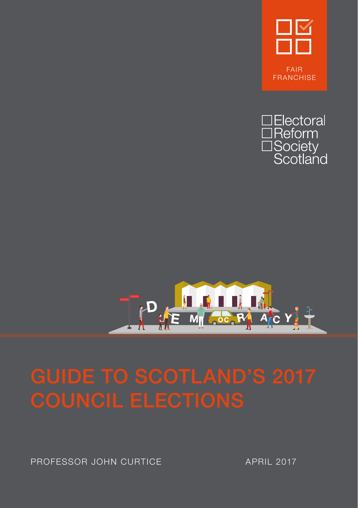





PROFESSOR JOHN CURTICE APRIL 2017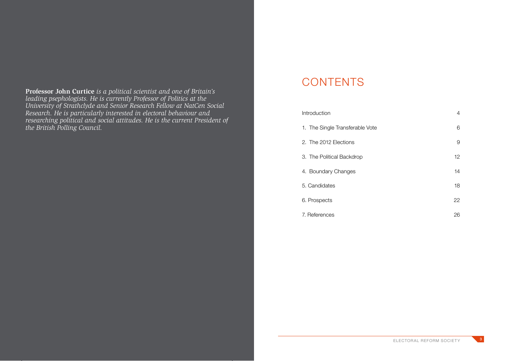**Professor John Curtice** *is a political scientist and one of Britain's leading psephologists. He is currently Professor of Politics at the University of Strathclyde and Senior Research Fellow at NatCen Social Research. He is particularly interested in electoral behaviour and researching political and social attitudes. He is the current President of the British Polling Council.*

#### **CONTENTS**

| Introduction                    | 4                 |
|---------------------------------|-------------------|
| 1. The Single Transferable Vote | 6                 |
| 2. The 2012 Elections           | 9                 |
| 3. The Political Backdrop       | $12 \overline{ }$ |
| 4. Boundary Changes             | 14                |
| 5. Candidates                   | 18                |
| 6. Prospects                    | 22                |
| 7. References                   | 26                |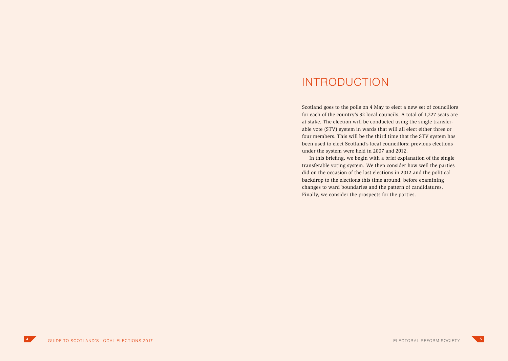#### INTRODUCTION

Scotland goes to the polls on 4 May to elect a new set of councillors for each of the country's 32 local councils. A total of 1,227 seats are at stake. The election will be conducted using the single transferable vote (STV) system in wards that will all elect either three or four members. This will be the third time that the STV system has been used to elect Scotland's local councillors; previous elections under the system were held in 2007 and 2012.

In this briefing, we begin with a brief explanation of the single transferable voting system. We then consider how well the parties did on the occasion of the last elections in 2012 and the political backdrop to the elections this time around, before examining changes to ward boundaries and the pattern of candidatures. Finally, we consider the prospects for the parties.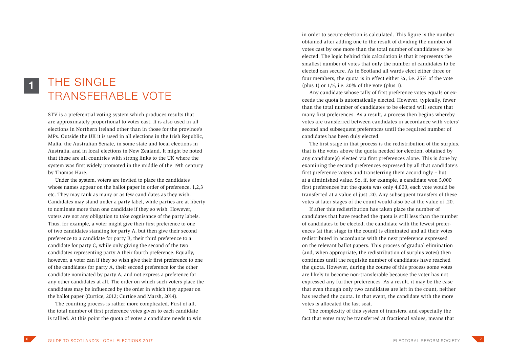## THE SINGLE TRANSFERABLE VOTE

1

STV is a preferential voting system which produces results that are approximately proportional to votes cast. It is also used in all elections in Northern Ireland other than in those for the province's MPs. Outside the UK it is used in all elections in the Irish Republic, Malta, the Australian Senate, in some state and local elections in Australia, and in local elections in New Zealand. It might be noted that these are all countries with strong links to the UK where the system was first widely promoted in the middle of the 19th century by Thomas Hare.

Under the system, voters are invited to place the candidates whose names appear on the ballot paper in order of preference, 1,2,3 etc. They may rank as many or as few candidates as they wish. Candidates may stand under a party label, while parties are at liberty to nominate more than one candidate if they so wish. However, voters are not any obligation to take cognisance of the party labels. Thus, for example, a voter might give their first preference to one of two candidates standing for party A, but then give their second preference to a candidate for party B, their third preference to a candidate for party C, while only giving the second of the two candidates representing party A their fourth preference. Equally, however, a voter can if they so wish give their first preference to one of the candidates for party A, their second preference for the other candidate nominated by party A, and not express a preference for any other candidates at all. The order on which such voters place the candidates may be influenced by the order in which they appear on the ballot paper (Curtice, 2012; Curtice and Marsh, 2014).

The counting process is rather more complicated. First of all, the total number of first preference votes given to each candidate is tallied. At this point the quota of votes a candidate needs to win in order to secure election is calculated. This figure is the number obtained after adding one to the result of dividing the number of votes cast by one more than the total number of candidates to be elected. The logic behind this calculation is that it represents the smallest number of votes that only the number of candidates to be elected can secure. As in Scotland all wards elect either three or four members, the quota is in effect either  $\frac{1}{4}$ , i.e. 25% of the vote (plus 1) or 1/5, i.e. 20% of the vote (plus 1).

Any candidate whose tally of first preference votes equals or exceeds the quota is automatically elected. However, typically, fewer than the total number of candidates to be elected will secure that many first preferences. As a result, a process then begins whereby votes are transferred between candidates in accordance with voters' second and subsequent preferences until the required number of candidates has been duly elected.

The first stage in that process is the redistribution of the surplus, that is the votes above the quota needed for election, obtained by any candidate(s) elected via first preferences alone. This is done by examining the second preferences expressed by all that candidate's first preference voters and transferring them accordingly – but at a diminished value. So, if, for example, a candidate won 5,000 first preferences but the quota was only 4,000, each vote would be transferred at a value of just .20. Any subsequent transfers of these votes at later stages of the count would also be at the value of .20.

If after this redistribution has taken place the number of candidates that have reached the quota is still less than the number of candidates to be elected, the candidate with the fewest preferences (at that stage in the count) is eliminated and all their votes redistributed in accordance with the next preference expressed on the relevant ballot papers. This process of gradual elimination (and, when appropriate, the redistribution of surplus votes) then continues until the requisite number of candidates have reached the quota. However, during the course of this process some votes are likely to become non-transferable because the voter has not expressed any further preferences. As a result, it may be the case that even though only two candidates are left in the count, neither has reached the quota. In that event, the candidate with the more votes is allocated the last seat.

The complexity of this system of transfers, and especially the fact that votes may be transferred at fractional values, means that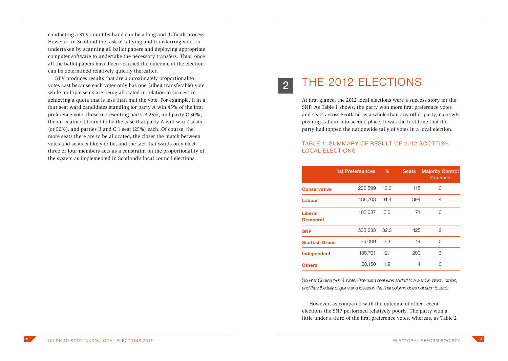conducting a STV count by hand can be a long and difficult process. However, in Scotland the task of tallying and transferring votes is undertaken by scanning all ballot papers and deploying appropriate computer software to undertake the necessary transfers. Thus, once all the ballot papers have been scanned the outcome of the election can be determined relatively quickly thereafter.

STV produces results that are approximately proportional to votes cast because each voter only has one (albeit transferable) vote while multiple seats are being allocated in relation to success in achieving a quota that is less than half the vote. For example, if in a four seat ward candidates standing for party A win 45% of the first preference vote, those representing party B 25%, and party C 30%, then it is almost bound to be the case that party A will win 2 seats (or 50%), and parties B and C 1 seat (25%) each. Of course, the more seats there are to be allocated, the closer the match between votes and seats is likely to be, and the fact that wards only elect three or four members acts as a constraint on the proportionality of the system as implemented in Scotland's local council elections.

# 2

## THE 2012 FLECTIONS

At first glance, the 2012 local elections were a success story for the SNP. As Table 1 shows, the party won more first preference votes and seats across Scotland as a whole than any other party, narrowly pushing Labour into second place. It was the first time that the party had topped the nationwide tally of votes in a local election.

#### TABLE 1: SUMMARY OF RESULT OF 2012 SCOTTISH LOCAL ELECTIONS

|                            | <b>1st Prefereences</b> | $\%$ | <b>Seats</b> | <b>Majority Control</b><br><b>Councils</b> |
|----------------------------|-------------------------|------|--------------|--------------------------------------------|
| <b>Conservative</b>        | 206,599                 | 13.3 | 115          | 0                                          |
| Labour                     | 488,703                 | 31.4 | 394          | 4                                          |
| Liberal<br><b>Democrat</b> | 103,087                 | 6.6  | 71           | $\Omega$                                   |
| <b>SNP</b>                 | 503,233                 | 32.3 | 425          | 2                                          |
| <b>Scottish Green</b>      | 36,000                  | 2.3  | 14           | $\Omega$                                   |
| Independent                | 188,701                 | 12.1 | 200          | 3                                          |
| Others                     | 30,150                  | 1.9  | 4            | ∩                                          |

*Source: Curtice (2012). Note: One extra seat was added to a ward in West Lothian, and thus the tally of gains and losses in the final column does not sum to zero.*

However, as compared with the outcome of other recent elections the SNP performed relatively poorly. The party won a little under a third of the first preference votes, whereas, as Table 2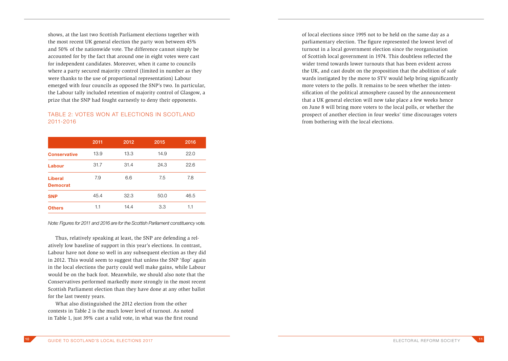shows, at the last two Scottish Parliament elections together with the most recent UK general election the party won between 45% and 50% of the nationwide vote. The difference cannot simply be accounted for by the fact that around one in eight votes were cast for independent candidates. Moreover, when it came to councils where a party secured majority control (limited in number as they were thanks to the use of proportional representation) Labour emerged with four councils as opposed the SNP's two. In particular, the Labour tally included retention of majority control of Glasgow, a prize that the SNP had fought earnestly to deny their opponents.

#### TABLE 2: VOTES WON AT ELECTIONS IN SCOTLAND 2011-2016

|                            | 2011 | 2012 | 2015 | 2016 |
|----------------------------|------|------|------|------|
| <b>Conservative</b>        | 13.9 | 13.3 | 14.9 | 22.0 |
| Labour                     | 31.7 | 31.4 | 24.3 | 22.6 |
| Liberal<br><b>Democrat</b> | 7.9  | 6.6  | 7.5  | 7.8  |
| <b>SNP</b>                 | 45.4 | 32.3 | 50.0 | 46.5 |
| <b>Others</b>              | 1.1  | 14.4 | 3.3  | 1.1  |

*Note: Figures for 2011 and 2016 are for the Scottish Parliament constituency vote.*

Thus, relatively speaking at least, the SNP are defending a relatively low baseline of support in this year's elections. In contrast, Labour have not done so well in any subsequent election as they did in 2012. This would seem to suggest that unless the SNP 'flop' again in the local elections the party could well make gains, while Labour would be on the back foot. Meanwhile, we should also note that the Conservatives performed markedly more strongly in the most recent Scottish Parliament election than they have done at any other ballot for the last twenty years.

What also distinguished the 2012 election from the other contests in Table 2 is the much lower level of turnout. As noted in Table 1, just 39% cast a valid vote, in what was the first round

of local elections since 1995 not to be held on the same day as a parliamentary election. The figure represented the lowest level of turnout in a local government election since the reorganisation of Scottish local government in 1974. This doubtless reflected the wider trend towards lower turnouts that has been evident across the UK, and cast doubt on the proposition that the abolition of safe wards instigated by the move to STV would help bring significantly more voters to the polls. It remains to be seen whether the intensification of the political atmosphere caused by the announcement that a UK general election will now take place a few weeks hence on June 8 will bring more voters to the local polls, or whether the prospect of another election in four weeks' time discourages voters from bothering with the local elections.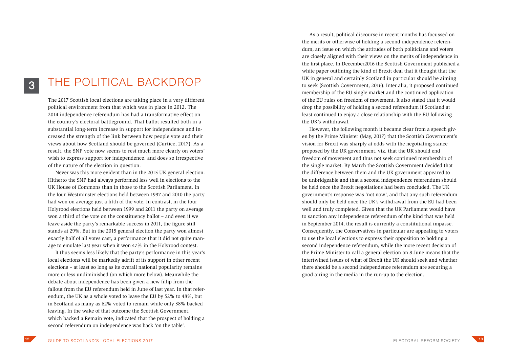### 3

### THE POLITICAL BACKDROP

The 2017 Scottish local elections are taking place in a very different political environment from that which was in place in 2012. The 2014 independence referendum has had a transformative effect on the country's electoral battleground. That ballot resulted both in a substantial long-term increase in support for independence and increased the strength of the link between how people vote and their views about how Scotland should be governed (Curtice, 2017). As a result, the SNP vote now seems to rest much more clearly on voters' wish to express support for independence, and does so irrespective of the nature of the election in question.

Never was this more evident than in the 2015 UK general election. Hitherto the SNP had always performed less well in elections to the UK House of Commons than in those to the Scottish Parliament. In the four Westminster elections held between 1997 and 2010 the party had won on average just a fifth of the vote. In contrast, in the four Holyrood elections held between 1999 and 2011 the party on average won a third of the vote on the constituency ballot – and even if we leave aside the party's remarkable success in 2011, the figure still stands at 29%. But in the 2015 general election the party won almost exactly half of all votes cast, a performance that it did not quite manage to emulate last year when it won 47% in the Holyrood contest.

It thus seems less likely that the party's performance in this year's local elections will be markedly adrift of its support in other recent elections – at least so long as its overall national popularity remains more or less undiminished (on which more below). Meanwhile the debate about independence has been given a new fillip from the fallout from the EU referendum held in June of last year. In that referendum, the UK as a whole voted to leave the EU by 52% to 48%, but in Scotland as many as 62% voted to remain while only 38% backed leaving. In the wake of that outcome the Scottish Government, which backed a Remain vote, indicated that the prospect of holding a second referendum on independence was back 'on the table'.

As a result, political discourse in recent months has focussed on the merits or otherwise of holding a second independence referendum, an issue on which the attitudes of both politicians and voters are closely aligned with their views on the merits of independence in the first place. In December2016 the Scottish Government published a white paper outlining the kind of Brexit deal that it thought that the UK in general and certainly Scotland in particular should be aiming to seek (Scottish Government, 2016). Inter alia, it proposed continued membership of the EU single market and the continued application of the EU rules on freedom of movement. It also stated that it would drop the possibility of holding a second referendum if Scotland at least continued to enjoy a close relationship with the EU following the UK's withdrawal.

However, the following month it became clear from a speech given by the Prime Minister (May, 2017) that the Scottish Government's vision for Brexit was sharply at odds with the negotiating stance proposed by the UK government, viz. that the UK should end freedom of movement and thus not seek continued membership of the single market. By March the Scottish Government decided that the difference between them and the UK government appeared to be unbridgeable and that a second independence referendum should be held once the Brexit negotiations had been concluded. The UK government's response was 'not now', and that any such referendum should only be held once the UK's withdrawal from the EU had been well and truly completed. Given that the UK Parliament would have to sanction any independence referendum of the kind that was held in September 2014, the result is currently a constitutional impasse. Consequently, the Conservatives in particular are appealing to voters to use the local elections to express their opposition to holding a second independence referendum, while the more recent decision of the Prime Minister to call a general election on 8 June means that the intertwined issues of what of Brexit the UK should seek and whether there should be a second independence referendum are securing a good airing in the media in the run-up to the election.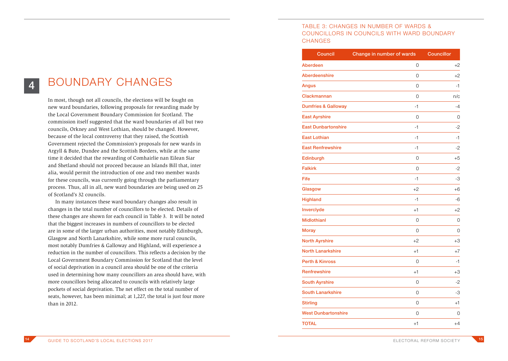## 4

### BOUNDARY CHANGES

In most, though not all councils, the elections will be fought on new ward boundaries, following proposals for rewarding made by the Local Government Boundary Commission for Scotland. The commission itself suggested that the ward boundaries of all but two councils, Orkney and West Lothian, should be changed. However, because of the local controversy that they raised, the Scottish Government rejected the Commission's proposals for new wards in Argyll & Bute, Dundee and the Scottish Borders, while at the same time it decided that the rewarding of Comhairlie nan Eilean Siar and Shetland should not proceed because an Islands Bill that, inter alia, would permit the introduction of one and two member wards for these councils, was currently going through the parliamentary process. Thus, all in all, new ward boundaries are being used on 25 of Scotland's 32 councils.

In many instances these ward boundary changes also result in changes in the total number of councillors to be elected. Details of these changes are shown for each council in Table 3. It will be noted that the biggest increases in numbers of councillors to be elected are in some of the larger urban authorities, most notably Edinburgh, Glasgow and North Lanarkshire, while some more rural councils, most notably Dumfries & Galloway and Highland, will experience a reduction in the number of councillors. This reflects a decision by the Local Government Boundary Commission for Scotland that the level of social deprivation in a council area should be one of the criteria used in determining how many councillors an area should have, with more councillors being allocated to councils with relatively large pockets of social deprivation. The net effect on the total number of seats, however, has been minimal; at 1,227, the total is just four more than in 2012.

#### TABLE 3: CHANGES IN NUMBER OF WARDS & COUNCILLORS IN COUNCILS WITH WARD BOUNDARY **CHANGES**

| <b>Council</b>                 | Change in number of wards | <b>Councillor</b> |
|--------------------------------|---------------------------|-------------------|
| Aberdeen                       | 0                         | $+2$              |
| <b>Aberdeenshire</b>           | 0                         | $+2$              |
| Angus                          | 0                         | -1                |
| Clackmannan                    | 0                         | n/c               |
| <b>Dumfries &amp; Galloway</b> | $-1$                      | -4                |
| <b>East Ayrshire</b>           | 0                         | 0                 |
| <b>East Dunbartonshire</b>     | $-1$                      | $-2$              |
| <b>East Lothian</b>            | $-1$                      | $-1$              |
| <b>East Renfrewshire</b>       | $-1$                      | -2                |
| Edinburgh                      | $\overline{0}$            | $+5$              |
| <b>Falkirk</b>                 | 0                         | -2                |
| Fife                           | $-1$                      | -3                |
| Glasgow                        | $+2$                      | +6                |
| <b>Highland</b>                | $-1$                      | -6                |
| Inverclyde                     | $+1$                      | $+2$              |
| <b>Midlothianl</b>             | 0                         | 0                 |
| <b>Moray</b>                   | $\Omega$                  | 0                 |
| <b>North Ayrshire</b>          | $+2$                      | $+3$              |
| <b>North Lanarkshire</b>       | $+1$                      | $+7$              |
| <b>Perth &amp; Kinross</b>     | 0                         | -1                |
| <b>Renfrewshire</b>            | $+1$                      | $+3$              |
| <b>South Ayrshire</b>          | 0                         | -2                |
| <b>South Lanarkshire</b>       | $\Omega$                  | -3                |
| <b>Stirling</b>                | 0                         | $+1$              |
| <b>West Dunbartonshire</b>     | 0                         | 0                 |
| <b>TOTAL</b>                   | $+1$                      | $+4$              |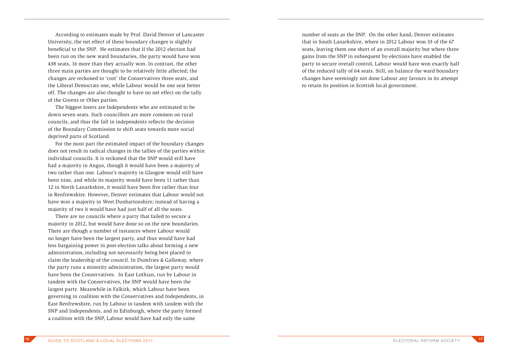According to estimates made by Prof. David Denver of Lancaster University, the net effect of these boundary changes is slightly beneficial to the SNP. He estimates that if the 2012 election had been run on the new ward boundaries, the party would have won 438 seats, 16 more than they actually won. In contrast, the other three main parties are thought to be relatively little affected; the changes are reckoned to 'cost' the Conservatives three seats, and the Liberal Democrats one, while Labour would be one seat better off. The changes are also thought to have no net effect on the tally of the Greens or Other parties.

The biggest losers are Independents who are estimated to be down seven seats. Such councillors are more common on rural councils, and thus the fall in independents reflects the decision of the Boundary Commission to shift seats towards more social deprived parts of Scotland.

For the most part the estimated impact of the boundary changes does not result in radical changes in the tallies of the parties within individual councils. It is reckoned that the SNP would still have had a majority in Angus, though it would have been a majority of two rather than one. Labour's majority in Glasgow would still have been nine, and while its majority would have been 11 rather than 12 in North Lanarkshire, it would have been five rather than four in Renfrewshire. However, Denver estimates that Labour would not have won a majority in West Dunbartonshire; instead of having a majority of two it would have had just half of all the seats.

There are no councils where a party that failed to secure a majority in 2012, but would have done so on the new boundaries. There are though a number of instances where Labour would no longer have been the largest party, and thus would have had less bargaining power in post-election talks about forming a new administration, including not necessarily being best placed to claim the leadership of the council. In Dumfries & Galloway, where the party runs a minority administration, the largest party would have been the Conservatives. In East Lothian, run by Labour in tandem with the Conservatives, the SNP would have been the largest party. Meanwhile in Falkirk, which Labour have been governing in coalition with the Conservatives and Independents, in East Renfrewshire, run by Labour in tandem with tandem with the SNP and Independents, and in Edinburgh, where the party formed a coalition with the SNP, Labour would have had only the same

number of seats as the SNP. On the other hand, Denver estimates that in South Lanarkshire, where in 2012 Labour won 33 of the 67 seats, leaving them one short of an overall majority but where three gains from the SNP in subsequent by-elections have enabled the party to secure overall control, Labour would have won exactly half of the reduced tally of 64 seats. Still, on balance the ward boundary changes have seemingly not done Labour any favours in its attempt to retain its position in Scottish local government.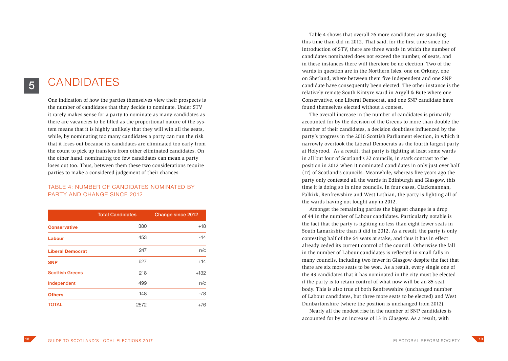#### **CANDIDATFS**

5

One indication of how the parties themselves view their prospects is the number of candidates that they decide to nominate. Under STV it rarely makes sense for a party to nominate as many candidates as there are vacancies to be filled as the proportional nature of the system means that it is highly unlikely that they will win all the seats, while, by nominating too many candidates a party can run the risk that it loses out because its candidates are eliminated too early from the count to pick up transfers from other eliminated candidates. On the other hand, nominating too few candidates can mean a party loses out too. Thus, between them these two considerations require parties to make a considered judgement of their chances.

#### TABLE 4: NUMBER OF CANDIDATES NOMINATED BY PARTY AND CHANGE SINCE 2012

| <b>Total Candidates</b> | Change since 2012 |
|-------------------------|-------------------|
| 380                     | $+18$             |
| 453                     | $-44$             |
| 247                     | n/c               |
| 627                     | $+14$             |
| 218                     | $+132$            |
| 499                     | n/c               |
| 148                     | $-78$             |
| 2572                    | $+76$             |
|                         |                   |

Table 4 shows that overall 76 more candidates are standing this time than did in 2012. That said, for the first time since the introduction of STV, there are three wards in which the number of candidates nominated does not exceed the number, of seats, and in these instances there will therefore be no election. Two of the wards in question are in the Northern Isles, one on Orkney, one on Shetland, where between them five Independent and one SNP candidate have consequently been elected. The other instance is the relatively remote South Kintyre ward in Argyll & Bute where one Conservative, one Liberal Democrat, and one SNP candidate have found themselves elected without a contest.

The overall increase in the number of candidates is primarily accounted for by the decision of the Greens to more than double the number of their candidates, a decision doubtless influenced by the party's progress in the 2016 Scottish Parliament election, in which it narrowly overtook the Liberal Democrats as the fourth largest party at Holyrood. As a result, that party is fighting at least some wards in all but four of Scotland's 32 councils, in stark contrast to the position in 2012 when it nominated candidates in only just over half (17) of Scotland's councils. Meanwhile, whereas five years ago the party only contested all the wards in Edinburgh and Glasgow, this time it is doing so in nine councils. In four cases, Clackmannan, Falkirk, Renfrewshire and West Lothian, the party is fighting all of the wards having not fought any in 2012.

Amongst the remaining parties the biggest change is a drop of 44 in the number of Labour candidates. Particularly notable is the fact that the party is fighting no less than eight fewer seats in South Lanarkshire than it did in 2012. As a result, the party is only contesting half of the 64 seats at stake, and thus it has in effect already ceded its current control of the council. Otherwise the fall in the number of Labour candidates is reflected in small falls in many councils, including two fewer in Glasgow despite the fact that there are six more seats to be won. As a result, every single one of the 43 candidates that it has nominated in the city must be elected if the party is to retain control of what now will be an 85-seat body. This is also true of both Renfrewshire (unchanged number of Labour candidates, but three more seats to be elected) and West Dunbartonshire (where the position is unchanged from 2012).

Nearly all the modest rise in the number of SNP candidates is accounted for by an increase of 13 in Glasgow. As a result, with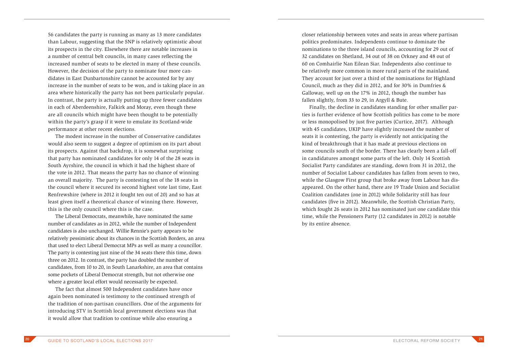56 candidates the party is running as many as 13 more candidates than Labour, suggesting that the SNP is relatively optimistic about its prospects in the city. Elsewhere there are notable increases in a number of central belt councils, in many cases reflecting the increased number of seats to be elected in many of these councils. However, the decision of the party to nominate four more candidates in East Dunbartonshire cannot be accounted for by any increase in the number of seats to be won, and is taking place in an area where historically the party has not been particularly popular. In contrast, the party is actually putting up three fewer candidates in each of Aberdeenshire, Falkirk and Moray, even though these are all councils which might have been thought to be potentially within the party's grasp if it were to emulate its Scotland-wide performance at other recent elections.

The modest increase in the number of Conservative candidates would also seem to suggest a degree of optimism on its part about its prospects. Against that backdrop, it is somewhat surprising that party has nominated candidates for only 14 of the 28 seats in South Ayrshire, the council in which it had the highest share of the vote in 2012. That means the party has no chance of winning an overall majority. The party is contesting ten of the 18 seats in the council where it secured its second highest vote last time, East Renfrewshire (where in 2012 it fought ten out of 20) and so has at least given itself a theoretical chance of winning there. However, this is the only council where this is the case.

The Liberal Democrats, meanwhile, have nominated the same number of candidates as in 2012, while the number of Independent candidates is also unchanged. Willie Rennie's party appears to be relatively pessimistic about its chances in the Scottish Borders, an area that used to elect Liberal Democrat MPs as well as many a councillor. The party is contesting just nine of the 34 seats there this time, down three on 2012. In contrast, the party has doubled the number of candidates, from 10 to 20, in South Lanarkshire, an area that contains some pockets of Liberal Democrat strength, but not otherwise one where a greater local effort would necessarily be expected.

The fact that almost 500 Independent candidates have once again been nominated is testimony to the continued strength of the tradition of non-partisan councillors. One of the arguments for introducing STV in Scottish local government elections was that it would allow that tradition to continue while also ensuring a

closer relationship between votes and seats in areas where partisan politics predominates. Independents continue to dominate the nominations to the three island councils, accounting for 29 out of 32 candidates on Shetland, 34 out of 38 on Orkney and 48 out of 60 on Comhairlie Nan Eilean Siar. Independents also continue to be relatively more common in more rural parts of the mainland. They account for just over a third of the nominations for Highland Council, much as they did in 2012, and for 30% in Dumfries & Galloway, well up on the 17% in 2012, though the number has fallen slightly, from 33 to 29, in Argyll & Bute.

Finally, the decline in candidates standing for other smaller parties is further evidence of how Scottish politics has come to be more or less monopolised by just five parties (Curtice, 2017). Although with 45 candidates, UKIP have slightly increased the number of seats it is contesting, the party is evidently not anticipating the kind of breakthrough that it has made at previous elections on some councils south of the border. There has clearly been a fall-off in candidatures amongst some parts of the left. Only 14 Scottish Socialist Party candidates are standing, down from 31 in 2012, the number of Socialist Labour candidates has fallen from seven to two, while the Glasgow First group that broke away from Labour has disappeared. On the other hand, there are 19 Trade Union and Socialist Coalition candidates (one in 2012) while Solidarity still has four candidates (five in 2012). Meanwhile, the Scottish Christian Party, which fought 26 seats in 2012 has nominated just one candidate this time, while the Pensioners Party (12 candidates in 2012) is notable by its entire absence.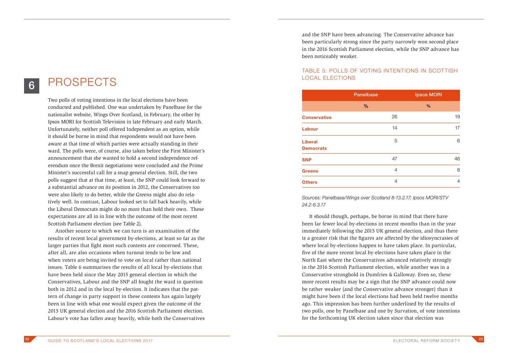### PROSPECTS

6

Two polls of voting intentions in the local elections have been conducted and published. One was undertaken by Panelbase for the nationalist website, Wings Over Scotland, in February, the other by Ipsos MORI for Scottish Television in late February and early March. Unfortunately, neither poll offered Independent as an option, while it should be borne in mind that respondents would not have been aware at that time of which parties were actually standing in their ward. The polls were, of course, also taken before the First Minister's announcement that she wanted to hold a second independence referendum once the Brexit negotiations were concluded and the Prime Minister's successful call for a snap general election. Still, the two polls suggest that at that time, at least, the SNP could look forward to a substantial advance on its position in 2012, the Conservatives too were also likely to do better, while the Greens might also do relatively well. In contrast, Labour looked set to fall back heavily, while the Liberal Democrats might do no more than hold their own. These expectations are all in in line with the outcome of the most recent Scottish Parliament election (see Table 2).

Another source to which we can turn is an examination of the results of recent local government by-elections, at least so far as the larger parties that fight most such contests are concerned. These, after all, are also occasions when turnout tends to be low and when voters are being invited to vote on local rather than national issues. Table 6 summarises the results of all local by-elections that have been held since the May 2015 general election in which the Conservatives, Labour and the SNP all fought the ward in question both in 2012 and in the local by-election. It indicates that the pattern of change in party support in these contests has again largely been in line with what one would expect given the outcome of the 2015 UK general election and the 2016 Scottish Parliament election. Labour's vote has fallen away heavily, while both the Conservatives

and the SNP have been advancing. The Conservative advance has been particularly strong since the party narrowly won second place in the 2016 Scottish Parliament election, while the SNP advance has been noticeably weaker.

#### TABLE 5: POLLS OF VOTING INTENTIONS IN SCOTTISH LOCAL ELECTIONS

|                                    | <b>Panelbase</b> | <b>Ipsos MORI</b> |
|------------------------------------|------------------|-------------------|
|                                    | $\frac{9}{6}$    | %                 |
| <b>Conservative</b>                | 26               | 19                |
| Labour                             | 14               | 17                |
| <b>Liberal</b><br><b>Democrats</b> | 5                | 6                 |
| <b>SNP</b>                         | 47               | 46                |
| <b>Greens</b>                      | $\overline{4}$   | 8                 |
| <b>Others</b>                      | 4                | 4                 |

*Sources: Panelbase/Wings over Scotland 8-13.2.17; Ipsos MORI/STV 24.2-6.3.17*

It should though, perhaps, be borne in mind that there have been far fewer local by-elections in recent months than in the year immediately following the 2015 UK general election, and thus there is a greater risk that the figures are affected by the idiosyncrasies of where local by-elections happen to have taken place. In particular, five of the more recent local by-elections have taken place in the North East where the Conservatives advanced relatively strongly in the 2016 Scottish Parliament election, while another was in a Conservative stronghold in Dumfries & Galloway. Even so, these more recent results may be a sign that the SNP advance could now be rather weaker (and the Conservative advance stronger) than it might have been if the local elections had been held twelve months ago. This impression has been further underlined by the results of two polls, one by Panelbase and one by Survation, of vote intentions for the forthcoming UK election taken since that election was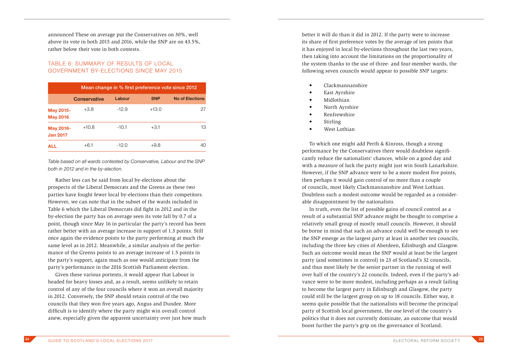announced These on average put the Conservatives on 30%, well above its vote in both 2015 and 2016, while the SNP are on 43.5%, rather below their vote in both contests.

#### TABLE 6: SUMMARY OF RESULTS OF LOCAL GOVERNMENT BY-ELECTIONS SINCE MAY 2015

|                              | Mean change in % first preference vote since 2012 |         |            |                        |
|------------------------------|---------------------------------------------------|---------|------------|------------------------|
|                              | Conservative                                      | Labour  | <b>SNP</b> | <b>No of Elections</b> |
| May 2015-<br><b>May 2016</b> | $+3.8$                                            | $-12.9$ | $+13.0$    | 27                     |
| May 2016-<br><b>Jan 2017</b> | $+10.8$                                           | $-10.1$ | $+3.1$     | 13                     |
| <b>ALL</b>                   | $+6.1$                                            | $-12.0$ | $+9.8$     | 40                     |

*Table based on all wards contested by Conservative, Labour and the SNP both in 2012 and in the by-election.*

Rather less can be said from local by-elections about the prospects of the Liberal Democrats and the Greens as these two parties have fought fewer local by-elections than their competitors. However, we can note that in the subset of the wards included in Table 6 which the Liberal Democrats did fight in 2012 and in the by-election the party has on average seen its vote fall by 0.7 of a point, though since May 16 in particular the party's record has been rather better with an average increase in support of 1.3 points. Still once again the evidence points to the party performing at much the same level as in 2012. Meanwhile, a similar analysis of the performance of the Greens points to an average increase of 1.5 points in the party's support, again much as one would anticipate from the party's performance in the 2016 Scottish Parliament election.

Given these various portents, it would appear that Labour is headed for heavy losses and, as a result, seems unlikely to retain control of any of the four councils where it won an overall majority in 2012. Conversely, the SNP should retain control of the two councils that they won five years ago, Angus and Dundee. More difficult is to identify where the party might win overall control anew, especially given the apparent uncertainty over just how much better it will do than it did in 2012. If the party were to increase its share of first preference votes by the average of ten points that it has enjoyed in local by-elections throughout the last two years, then taking into account the limitations on the proportionality of the system thanks to the use of three- and four-member wards, the following seven councils would appear to possible SNP targets:

- Clackmannanshire
- East Avrshire
- Midlothian
- North Ayrshire
- Renfrewshire
- Stirling
- West Lothian

To which one might add Perth & Kinross, though a strong performance by the Conservatives there would doubtless significantly reduce the nationalists' chances, while on a good day and with a measure of luck the party might just win South Lanarkshire. However, if the SNP advance were to be a more modest five points, then perhaps it would gain control of no more than a couple of councils, most likely Clackmannanshire and West Lothian. Doubtless such a modest outcome would be regarded as a considerable disappointment by the nationalists.

In truth, even the list of possible gains of council control as a result of a substantial SNP advance might be thought to comprise a relatively small group of mostly small councils. However, it should be borne in mind that such an advance could well be enough to see the SNP emerge as the largest party at least in another ten councils, including the three key cities of Aberdeen, Edinburgh and Glasgow. Such an outcome would mean the SNP would at least be the largest party (and sometimes in control) in 23 of Scotland's 32 councils, and thus most likely be the senior partner in the running of well over half of the country's 22 councils. Indeed, even if the party's advance were to be more modest, including perhaps as a result failing to become the largest party in Edinburgh and Glasgow, the party could still be the largest group on up to 18 councils. Either way, it seems quite possible that the nationalists will become the principal party of Scottish local government, the one level of the country's politics that it does not currently dominate, an outcome that would boost further the party's grip on the governance of Scotland.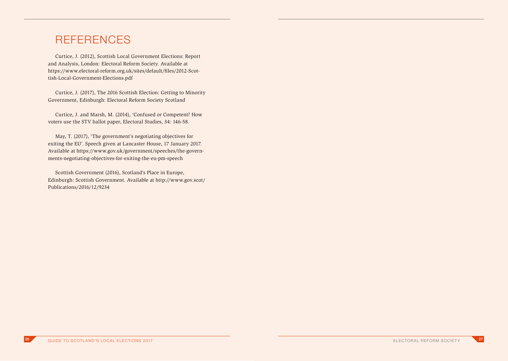### **REFERENCES**

Curtice, J. (2012), Scottish Local Government Elections: Report and Analysis, London: Electoral Reform Society. Available at https://www.electoral-reform.org.uk/sites/default/files/2012-Scottish-Local-Government-Elections.pdf

Curtice, J. (2017), The 2016 Scottish Election: Getting to Minority Government, Edinburgh: Electoral Reform Society Scotland

Curtice, J. and Marsh, M. (2014), 'Confused or Competent? How voters use the STV ballot paper, Electoral Studies, 34: 146-58.

May, T. (2017), 'The government's negotiating objectives for exiting the EU'. Speech given at Lancaster House, 17 January 2017. Available at https://www.gov.uk/government/speeches/the-governments-negotiating-objectives-for-exiting-the-eu-pm-speech

Scottish Government (2016), Scotland's Place in Europe, Edinburgh: Scottish Government. Available at http://www.gov.scot/ Publications/2016/12/9234